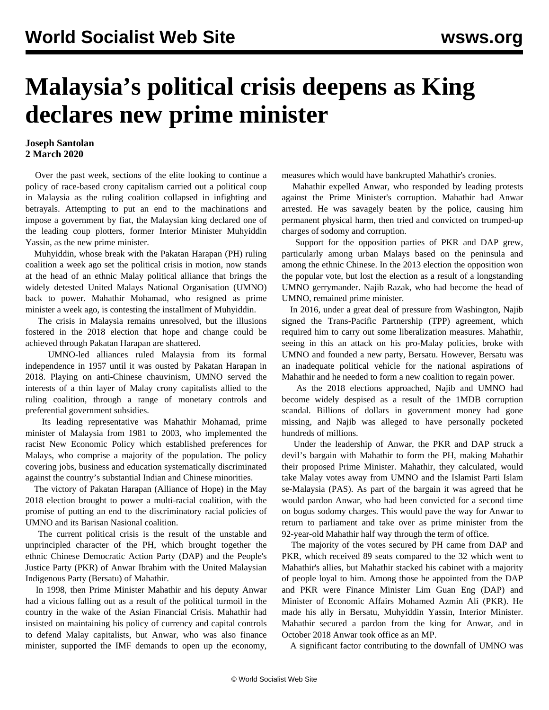## **Malaysia's political crisis deepens as King declares new prime minister**

## **Joseph Santolan 2 March 2020**

 Over the past week, sections of the elite looking to continue a policy of race-based crony capitalism carried out a political coup in Malaysia as the ruling coalition collapsed in infighting and betrayals. Attempting to put an end to the machinations and impose a government by fiat, the Malaysian king declared one of the leading coup plotters, former Interior Minister Muhyiddin Yassin, as the new prime minister.

 Muhyiddin, whose break with the Pakatan Harapan (PH) ruling coalition a week ago set the political crisis in motion, now stands at the head of an ethnic Malay political alliance that brings the widely detested United Malays National Organisation (UMNO) back to power. Mahathir Mohamad, who resigned as prime minister a week ago, is contesting the installment of Muhyiddin.

 The crisis in Malaysia remains unresolved, but the illusions fostered in the 2018 election that hope and change could be achieved through Pakatan Harapan are shattered.

 UMNO-led alliances ruled Malaysia from its formal independence in 1957 until it was ousted by Pakatan Harapan in 2018. Playing on anti-Chinese chauvinism, UMNO served the interests of a thin layer of Malay crony capitalists allied to the ruling coalition, through a range of monetary controls and preferential government subsidies.

 Its leading representative was Mahathir Mohamad, prime minister of Malaysia from 1981 to 2003, who implemented the racist New Economic Policy which established preferences for Malays, who comprise a majority of the population. The policy covering jobs, business and education systematically discriminated against the country's substantial Indian and Chinese minorities.

 The victory of Pakatan Harapan (Alliance of Hope) in the May 2018 election brought to power a multi-racial coalition, with the promise of putting an end to the discriminatory racial policies of UMNO and its Barisan Nasional coalition.

 The current political crisis is the result of the unstable and unprincipled character of the PH, which brought together the ethnic Chinese Democratic Action Party (DAP) and the People's Justice Party (PKR) of Anwar Ibrahim with the United Malaysian Indigenous Party (Bersatu) of Mahathir.

 In 1998, then Prime Minister Mahathir and his deputy Anwar had a vicious falling out as a result of the political turmoil in the country in the wake of the Asian Financial Crisis. Mahathir had insisted on maintaining his policy of currency and capital controls to defend Malay capitalists, but Anwar, who was also finance minister, supported the IMF demands to open up the economy,

measures which would have bankrupted Mahathir's cronies.

 Mahathir expelled Anwar, who responded by leading protests against the Prime Minister's corruption. Mahathir had Anwar arrested. He was savagely beaten by the police, causing him permanent physical harm, then tried and convicted on trumped-up charges of sodomy and corruption.

 Support for the opposition parties of PKR and DAP grew, particularly among urban Malays based on the peninsula and among the ethnic Chinese. In the 2013 election the opposition won the popular vote, but lost the election as a result of a longstanding UMNO gerrymander. Najib Razak, who had become the head of UMNO, remained prime minister.

 In 2016, under a great deal of pressure from Washington, Najib signed the Trans-Pacific Partnership (TPP) agreement, which required him to carry out some liberalization measures. Mahathir, seeing in this an attack on his pro-Malay policies, broke with UMNO and founded a new party, Bersatu. However, Bersatu was an inadequate political vehicle for the national aspirations of Mahathir and he needed to form a new coalition to regain power.

 As the 2018 elections approached, Najib and UMNO had become widely despised as a result of the 1MDB corruption scandal. Billions of dollars in government money had gone missing, and Najib was alleged to have personally pocketed hundreds of millions.

 Under the leadership of Anwar, the PKR and DAP struck a devil's bargain with Mahathir to form the PH, making Mahathir their proposed Prime Minister. Mahathir, they calculated, would take Malay votes away from UMNO and the Islamist Parti Islam se-Malaysia (PAS). As part of the bargain it was agreed that he would pardon Anwar, who had been convicted for a second time on bogus sodomy charges. This would pave the way for Anwar to return to parliament and take over as prime minister from the 92-year-old Mahathir half way through the term of office.

 The majority of the votes secured by PH came from DAP and PKR, which received 89 seats compared to the 32 which went to Mahathir's allies, but Mahathir stacked his cabinet with a majority of people loyal to him. Among those he appointed from the DAP and PKR were Finance Minister Lim Guan Eng (DAP) and Minister of Economic Affairs Mohamed Azmin Ali (PKR). He made his ally in Bersatu, Muhyiddin Yassin, Interior Minister. Mahathir secured a pardon from the king for Anwar, and in October 2018 Anwar took office as an MP.

A significant factor contributing to the downfall of UMNO was